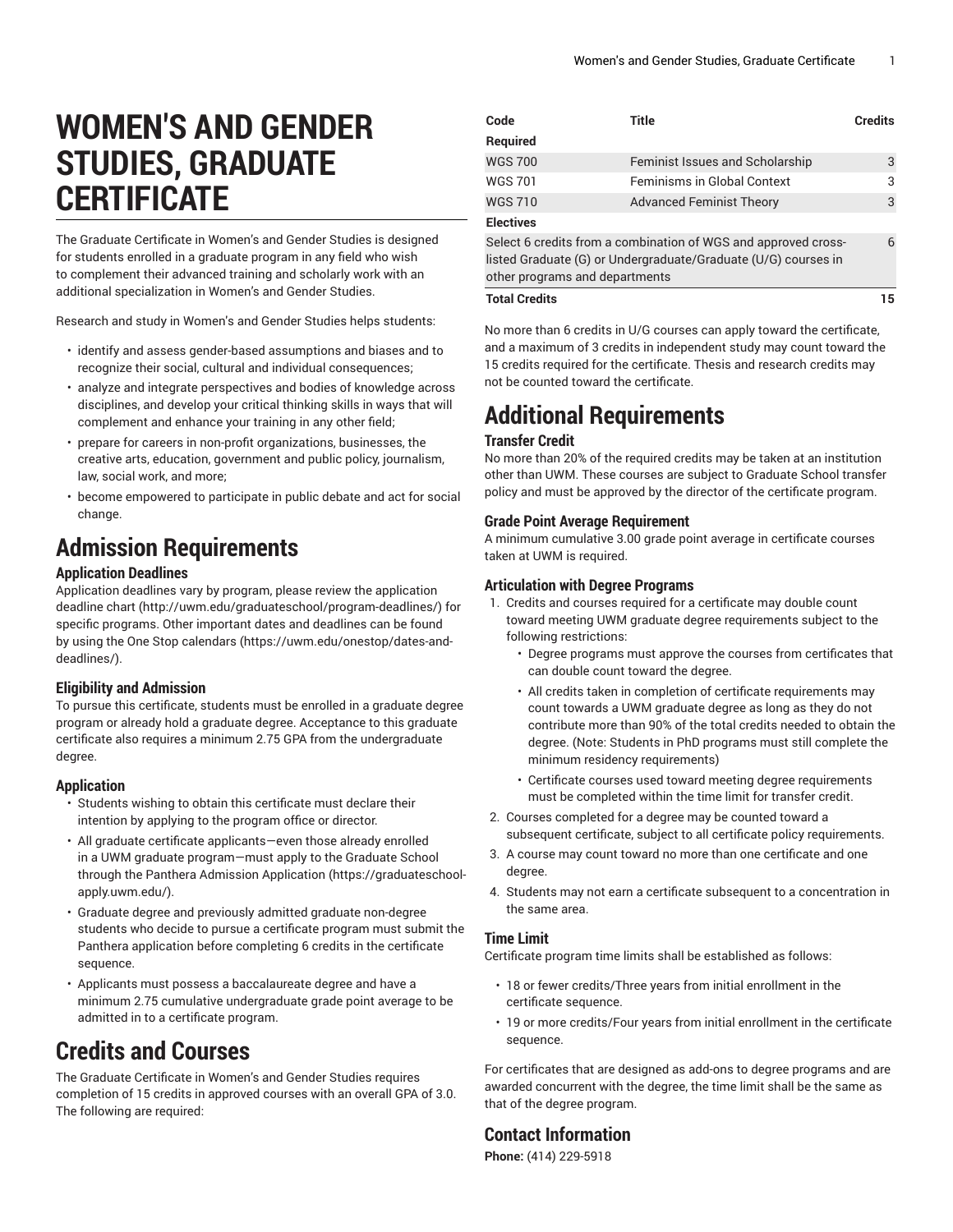# **WOMEN'S AND GENDER STUDIES, GRADUATE CERTIFICATE**

The Graduate Certificate in Women's and Gender Studies is designed for students enrolled in a graduate program in any field who wish to complement their advanced training and scholarly work with an additional specialization in Women's and Gender Studies.

Research and study in Women's and Gender Studies helps students:

- identify and assess gender-based assumptions and biases and to recognize their social, cultural and individual consequences;
- analyze and integrate perspectives and bodies of knowledge across disciplines, and develop your critical thinking skills in ways that will complement and enhance your training in any other field;
- prepare for careers in non-profit organizations, businesses, the creative arts, education, government and public policy, journalism, law, social work, and more;
- become empowered to participate in public debate and act for social change.

## **Admission Requirements**

### **Application Deadlines**

Application deadlines vary by program, please review the [application](http://uwm.edu/graduateschool/program-deadlines/) [deadline](http://uwm.edu/graduateschool/program-deadlines/) chart ([http://uwm.edu/graduateschool/program-deadlines/\)](http://uwm.edu/graduateschool/program-deadlines/) for specific programs. Other important dates and deadlines can be found by using the [One Stop calendars](https://uwm.edu/onestop/dates-and-deadlines/) ([https://uwm.edu/onestop/dates-and](https://uwm.edu/onestop/dates-and-deadlines/)[deadlines/\)](https://uwm.edu/onestop/dates-and-deadlines/).

### **Eligibility and Admission**

To pursue this certificate, students must be enrolled in a graduate degree program or already hold a graduate degree. Acceptance to this graduate certificate also requires a minimum 2.75 GPA from the undergraduate degree.

### **Application**

- Students wishing to obtain this certificate must declare their intention by applying to the program office or director.
- All graduate certificate applicants—even those already enrolled in a UWM graduate program—must apply to the Graduate School through the Panthera Admission [Application](https://graduateschool-apply.uwm.edu/) ([https://graduateschool](https://graduateschool-apply.uwm.edu/)[apply.uwm.edu/](https://graduateschool-apply.uwm.edu/)).
- Graduate degree and previously admitted graduate non-degree students who decide to pursue a certificate program must submit the Panthera application before completing 6 credits in the certificate sequence.
- Applicants must possess a baccalaureate degree and have a minimum 2.75 cumulative undergraduate grade point average to be admitted in to a certificate program.

### **Credits and Courses**

The Graduate Certificate in Women's and Gender Studies requires completion of 15 credits in approved courses with an overall GPA of 3.0. The following are required:

| Code                                                                                                                                                               | Title                           | <b>Credits</b> |
|--------------------------------------------------------------------------------------------------------------------------------------------------------------------|---------------------------------|----------------|
| Required                                                                                                                                                           |                                 |                |
| <b>WGS 700</b>                                                                                                                                                     | Feminist Issues and Scholarship | 3              |
| <b>WGS 701</b>                                                                                                                                                     | Feminisms in Global Context     | 3              |
| <b>WGS 710</b>                                                                                                                                                     | <b>Advanced Feminist Theory</b> | 3              |
| <b>Electives</b>                                                                                                                                                   |                                 |                |
| Select 6 credits from a combination of WGS and approved cross-<br>listed Graduate (G) or Undergraduate/Graduate (U/G) courses in<br>other programs and departments |                                 | 6              |

#### **Total Credits 15**

No more than 6 credits in U/G courses can apply toward the certificate, and a maximum of 3 credits in independent study may count toward the 15 credits required for the certificate. Thesis and research credits may not be counted toward the certificate.

## **Additional Requirements**

### **Transfer Credit**

No more than 20% of the required credits may be taken at an institution other than UWM. These courses are subject to Graduate School transfer policy and must be approved by the director of the certificate program.

### **Grade Point Average Requirement**

A minimum cumulative 3.00 grade point average in certificate courses taken at UWM is required.

### **Articulation with Degree Programs**

- 1. Credits and courses required for a certificate may double count toward meeting UWM graduate degree requirements subject to the following restrictions:
	- Degree programs must approve the courses from certificates that can double count toward the degree.
	- All credits taken in completion of certificate requirements may count towards a UWM graduate degree as long as they do not contribute more than 90% of the total credits needed to obtain the degree. (Note: Students in PhD programs must still complete the minimum residency requirements)
	- Certificate courses used toward meeting degree requirements must be completed within the time limit for transfer credit.
- 2. Courses completed for a degree may be counted toward a subsequent certificate, subject to all certificate policy requirements.
- 3. A course may count toward no more than one certificate and one degree.
- 4. Students may not earn a certificate subsequent to a concentration in the same area.

### **Time Limit**

Certificate program time limits shall be established as follows:

- 18 or fewer credits/Three years from initial enrollment in the certificate sequence.
- 19 or more credits/Four years from initial enrollment in the certificate sequence.

For certificates that are designed as add-ons to degree programs and are awarded concurrent with the degree, the time limit shall be the same as that of the degree program.

### **Contact Information**

**Phone:** (414) 229-5918